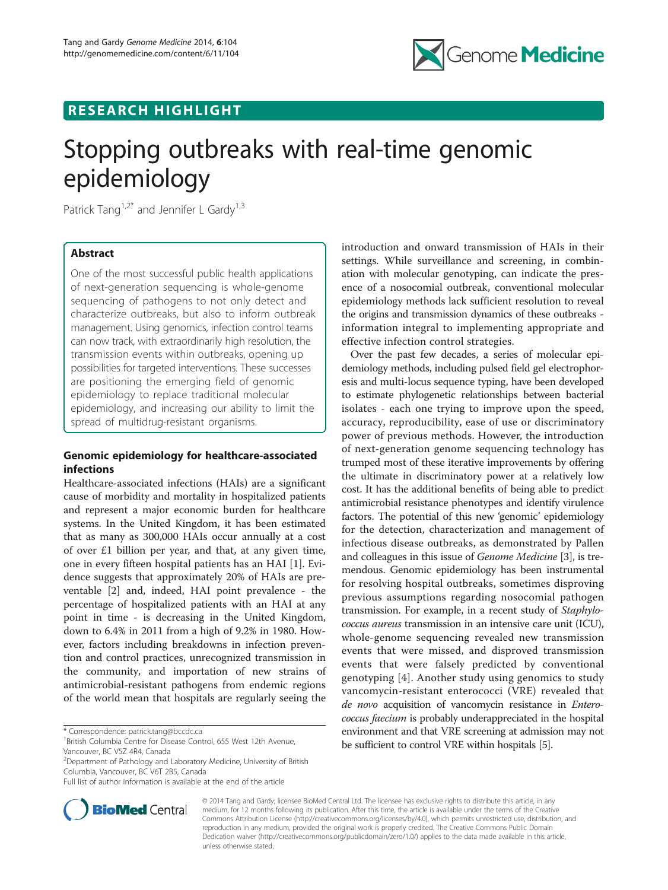

# RESEARCH HIGHLIGHT

# Stopping outbreaks with real-time genomic epidemiology

Patrick Tang<sup>1,2\*</sup> and Jennifer L Gardy<sup>1,3</sup>

# Abstract

One of the most successful public health applications of next-generation sequencing is whole-genome sequencing of pathogens to not only detect and characterize outbreaks, but also to inform outbreak management. Using genomics, infection control teams can now track, with extraordinarily high resolution, the transmission events within outbreaks, opening up possibilities for targeted interventions. These successes are positioning the emerging field of genomic epidemiology to replace traditional molecular epidemiology, and increasing our ability to limit the spread of multidrug-resistant organisms.

# Genomic epidemiology for healthcare-associated infections

Healthcare-associated infections (HAIs) are a significant cause of morbidity and mortality in hospitalized patients and represent a major economic burden for healthcare systems. In the United Kingdom, it has been estimated that as many as 300,000 HAIs occur annually at a cost of over £1 billion per year, and that, at any given time, one in every fifteen hospital patients has an HAI [[1](#page-2-0)]. Evidence suggests that approximately 20% of HAIs are preventable [\[2](#page-2-0)] and, indeed, HAI point prevalence - the percentage of hospitalized patients with an HAI at any point in time - is decreasing in the United Kingdom, down to 6.4% in 2011 from a high of 9.2% in 1980. However, factors including breakdowns in infection prevention and control practices, unrecognized transmission in the community, and importation of new strains of antimicrobial-resistant pathogens from endemic regions of the world mean that hospitals are regularly seeing the

\* Correspondence: [patrick.tang@bccdc.ca](mailto:patrick.tang@bccdc.ca) <sup>1</sup>

<sup>2</sup>Department of Pathology and Laboratory Medicine, University of British Columbia, Vancouver, BC V6T 2B5, Canada

Full list of author information is available at the end of the article



introduction and onward transmission of HAIs in their settings. While surveillance and screening, in combination with molecular genotyping, can indicate the presence of a nosocomial outbreak, conventional molecular epidemiology methods lack sufficient resolution to reveal the origins and transmission dynamics of these outbreaks information integral to implementing appropriate and effective infection control strategies.

Over the past few decades, a series of molecular epidemiology methods, including pulsed field gel electrophoresis and multi-locus sequence typing, have been developed to estimate phylogenetic relationships between bacterial isolates - each one trying to improve upon the speed, accuracy, reproducibility, ease of use or discriminatory power of previous methods. However, the introduction of next-generation genome sequencing technology has trumped most of these iterative improvements by offering the ultimate in discriminatory power at a relatively low cost. It has the additional benefits of being able to predict antimicrobial resistance phenotypes and identify virulence factors. The potential of this new 'genomic' epidemiology for the detection, characterization and management of infectious disease outbreaks, as demonstrated by Pallen and colleagues in this issue of Genome Medicine [[3\]](#page-2-0), is tremendous. Genomic epidemiology has been instrumental for resolving hospital outbreaks, sometimes disproving previous assumptions regarding nosocomial pathogen transmission. For example, in a recent study of Staphylococcus aureus transmission in an intensive care unit (ICU), whole-genome sequencing revealed new transmission events that were missed, and disproved transmission events that were falsely predicted by conventional genotyping [[4](#page-2-0)]. Another study using genomics to study vancomycin-resistant enterococci (VRE) revealed that de novo acquisition of vancomycin resistance in Enterococcus faecium is probably underappreciated in the hospital environment and that VRE screening at admission may not be sufficient to control VRE within hospitals [\[5](#page-2-0)].

© 2014 Tang and Gardy; licensee BioMed Central Ltd. The licensee has exclusive rights to distribute this article, in any medium, for 12 months following its publication. After this time, the article is available under the terms of the Creative Commons Attribution License [\(http://creativecommons.org/licenses/by/4.0\)](http://creativecommons.org/licenses/by/4.0), which permits unrestricted use, distribution, and reproduction in any medium, provided the original work is properly credited. The Creative Commons Public Domain Dedication waiver [\(http://creativecommons.org/publicdomain/zero/1.0/](http://creativecommons.org/publicdomain/zero/1.0/)) applies to the data made available in this article, unless otherwise stated.

<sup>&</sup>lt;sup>1</sup> British Columbia Centre for Disease Control, 655 West 12th Avenue, Vancouver, BC V5Z 4R4, Canada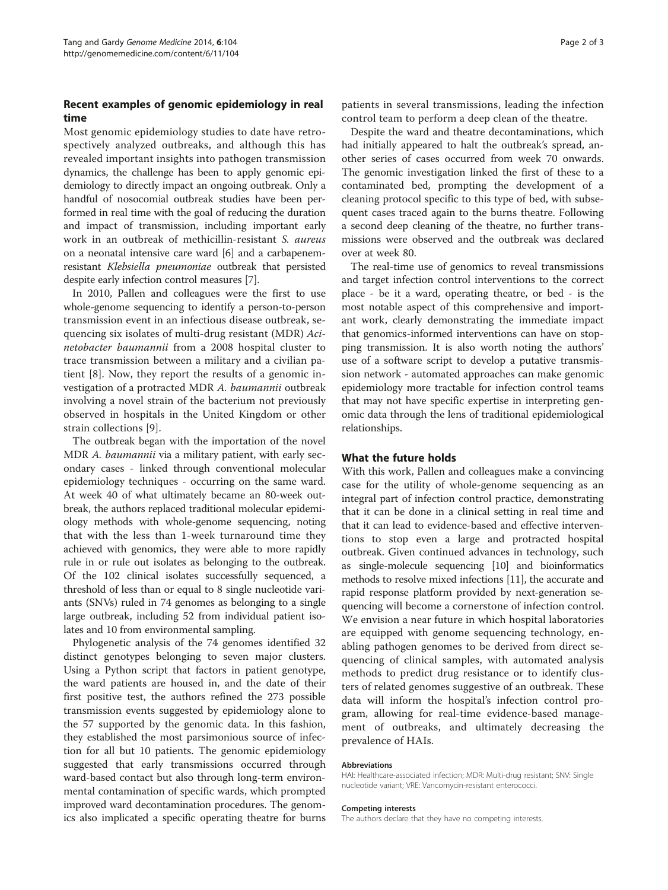## Recent examples of genomic epidemiology in real time

Most genomic epidemiology studies to date have retrospectively analyzed outbreaks, and although this has revealed important insights into pathogen transmission dynamics, the challenge has been to apply genomic epidemiology to directly impact an ongoing outbreak. Only a handful of nosocomial outbreak studies have been performed in real time with the goal of reducing the duration and impact of transmission, including important early work in an outbreak of methicillin-resistant S. aureus on a neonatal intensive care ward [\[6\]](#page-2-0) and a carbapenemresistant Klebsiella pneumoniae outbreak that persisted despite early infection control measures [\[7](#page-2-0)].

In 2010, Pallen and colleagues were the first to use whole-genome sequencing to identify a person-to-person transmission event in an infectious disease outbreak, sequencing six isolates of multi-drug resistant (MDR) Acinetobacter baumannii from a 2008 hospital cluster to trace transmission between a military and a civilian patient [[8\]](#page-2-0). Now, they report the results of a genomic investigation of a protracted MDR A. baumannii outbreak involving a novel strain of the bacterium not previously observed in hospitals in the United Kingdom or other strain collections [\[9](#page-2-0)].

The outbreak began with the importation of the novel MDR A. baumannii via a military patient, with early secondary cases - linked through conventional molecular epidemiology techniques - occurring on the same ward. At week 40 of what ultimately became an 80-week outbreak, the authors replaced traditional molecular epidemiology methods with whole-genome sequencing, noting that with the less than 1-week turnaround time they achieved with genomics, they were able to more rapidly rule in or rule out isolates as belonging to the outbreak. Of the 102 clinical isolates successfully sequenced, a threshold of less than or equal to 8 single nucleotide variants (SNVs) ruled in 74 genomes as belonging to a single large outbreak, including 52 from individual patient isolates and 10 from environmental sampling.

Phylogenetic analysis of the 74 genomes identified 32 distinct genotypes belonging to seven major clusters. Using a Python script that factors in patient genotype, the ward patients are housed in, and the date of their first positive test, the authors refined the 273 possible transmission events suggested by epidemiology alone to the 57 supported by the genomic data. In this fashion, they established the most parsimonious source of infection for all but 10 patients. The genomic epidemiology suggested that early transmissions occurred through ward-based contact but also through long-term environmental contamination of specific wards, which prompted improved ward decontamination procedures. The genomics also implicated a specific operating theatre for burns

patients in several transmissions, leading the infection control team to perform a deep clean of the theatre.

Despite the ward and theatre decontaminations, which had initially appeared to halt the outbreak's spread, another series of cases occurred from week 70 onwards. The genomic investigation linked the first of these to a contaminated bed, prompting the development of a cleaning protocol specific to this type of bed, with subsequent cases traced again to the burns theatre. Following a second deep cleaning of the theatre, no further transmissions were observed and the outbreak was declared over at week 80.

The real-time use of genomics to reveal transmissions and target infection control interventions to the correct place - be it a ward, operating theatre, or bed - is the most notable aspect of this comprehensive and important work, clearly demonstrating the immediate impact that genomics-informed interventions can have on stopping transmission. It is also worth noting the authors' use of a software script to develop a putative transmission network - automated approaches can make genomic epidemiology more tractable for infection control teams that may not have specific expertise in interpreting genomic data through the lens of traditional epidemiological relationships.

### What the future holds

With this work, Pallen and colleagues make a convincing case for the utility of whole-genome sequencing as an integral part of infection control practice, demonstrating that it can be done in a clinical setting in real time and that it can lead to evidence-based and effective interventions to stop even a large and protracted hospital outbreak. Given continued advances in technology, such as single-molecule sequencing [[10](#page-2-0)] and bioinformatics methods to resolve mixed infections [[11](#page-2-0)], the accurate and rapid response platform provided by next-generation sequencing will become a cornerstone of infection control. We envision a near future in which hospital laboratories are equipped with genome sequencing technology, enabling pathogen genomes to be derived from direct sequencing of clinical samples, with automated analysis methods to predict drug resistance or to identify clusters of related genomes suggestive of an outbreak. These data will inform the hospital's infection control program, allowing for real-time evidence-based management of outbreaks, and ultimately decreasing the prevalence of HAIs.

#### Abbreviations

HAI: Healthcare-associated infection; MDR: Multi-drug resistant; SNV: Single nucleotide variant; VRE: Vancomycin-resistant enterococci.

#### Competing interests

The authors declare that they have no competing interests.